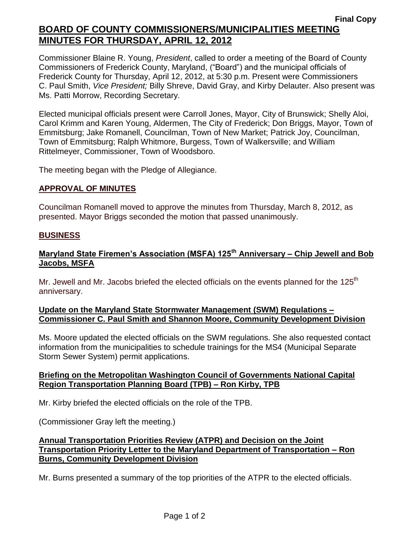## **Final Copy BOARD OF COUNTY COMMISSIONERS/MUNICIPALITIES MEETING MINUTES FOR THURSDAY, APRIL 12, 2012**

Commissioner Blaine R. Young, *President*, called to order a meeting of the Board of County Commissioners of Frederick County, Maryland, ("Board") and the municipal officials of Frederick County for Thursday, April 12, 2012, at 5:30 p.m. Present were Commissioners C. Paul Smith, *Vice President;* Billy Shreve, David Gray, and Kirby Delauter. Also present was Ms. Patti Morrow, Recording Secretary.

Elected municipal officials present were Carroll Jones, Mayor, City of Brunswick; Shelly Aloi, Carol Krimm and Karen Young, Aldermen, The City of Frederick; Don Briggs, Mayor, Town of Emmitsburg; Jake Romanell, Councilman, Town of New Market; Patrick Joy, Councilman, Town of Emmitsburg; Ralph Whitmore, Burgess, Town of Walkersville; and William Rittelmeyer, Commissioner, Town of Woodsboro.

The meeting began with the Pledge of Allegiance.

#### **APPROVAL OF MINUTES**

Councilman Romanell moved to approve the minutes from Thursday, March 8, 2012, as presented. Mayor Briggs seconded the motion that passed unanimously.

#### **BUSINESS**

# **Maryland State Firemen's Association (MSFA) 125th Anniversary – Chip Jewell and Bob Jacobs, MSFA**

Mr. Jewell and Mr. Jacobs briefed the elected officials on the events planned for the 125<sup>th</sup> anniversary.

#### **Update on the Maryland State Stormwater Management (SWM) Regulations – Commissioner C. Paul Smith and Shannon Moore, Community Development Division**

Ms. Moore updated the elected officials on the SWM regulations. She also requested contact information from the municipalities to schedule trainings for the MS4 (Municipal Separate Storm Sewer System) permit applications.

### **Briefing on the Metropolitan Washington Council of Governments National Capital Region Transportation Planning Board (TPB) – Ron Kirby, TPB**

Mr. Kirby briefed the elected officials on the role of the TPB.

(Commissioner Gray left the meeting.)

#### **Annual Transportation Priorities Review (ATPR) and Decision on the Joint Transportation Priority Letter to the Maryland Department of Transportation – Ron Burns, Community Development Division**

Mr. Burns presented a summary of the top priorities of the ATPR to the elected officials.